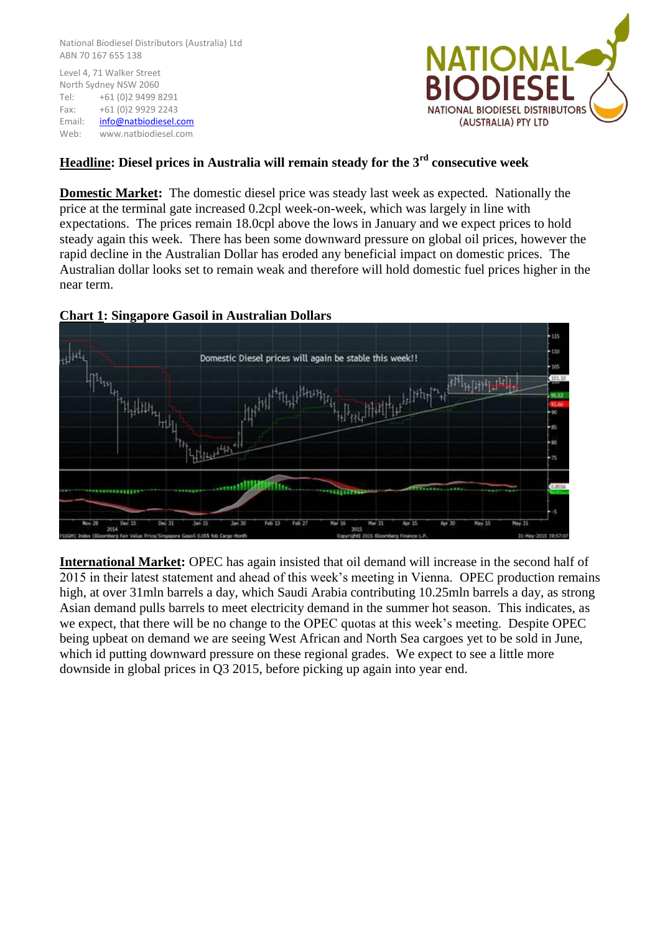National Biodiesel Distributors (Australia) Ltd ABN 70 167 655 138

Level 4, 71 Walker Street North Sydney NSW 2060 Tel: +61 (0)2 9499 8291 Fax: +61 (0)2 9929 2243 Email: [info@natbiodiesel.com](mailto:info@natbiodiesel.com) Web: www.natbiodiesel.com



## **Headline: Diesel prices in Australia will remain steady for the 3rd consecutive week**

**Domestic Market:** The domestic diesel price was steady last week as expected. Nationally the price at the terminal gate increased 0.2cpl week-on-week, which was largely in line with expectations. The prices remain 18.0cpl above the lows in January and we expect prices to hold steady again this week. There has been some downward pressure on global oil prices, however the rapid decline in the Australian Dollar has eroded any beneficial impact on domestic prices. The Australian dollar looks set to remain weak and therefore will hold domestic fuel prices higher in the near term.



## **Chart 1: Singapore Gasoil in Australian Dollars**

**International Market:** OPEC has again insisted that oil demand will increase in the second half of 2015 in their latest statement and ahead of this week's meeting in Vienna. OPEC production remains high, at over 31mln barrels a day, which Saudi Arabia contributing 10.25mln barrels a day, as strong Asian demand pulls barrels to meet electricity demand in the summer hot season. This indicates, as we expect, that there will be no change to the OPEC quotas at this week's meeting. Despite OPEC being upbeat on demand we are seeing West African and North Sea cargoes yet to be sold in June, which id putting downward pressure on these regional grades. We expect to see a little more downside in global prices in Q3 2015, before picking up again into year end.